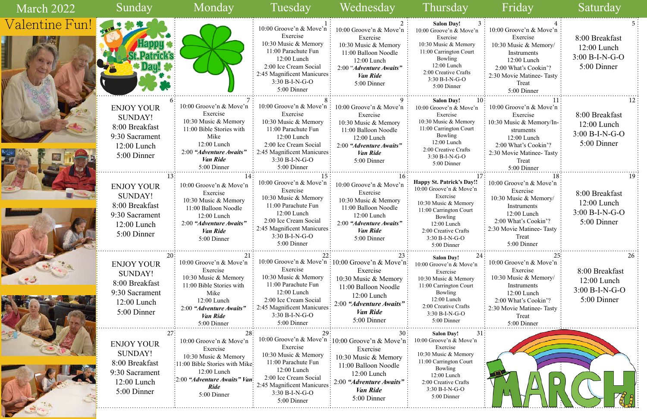| n            | 10:00 Groove'n & Move'n   |  |  |  |  |  |  |
|--------------|---------------------------|--|--|--|--|--|--|
|              | Exercise                  |  |  |  |  |  |  |
|              | 10:30 Music & Memory/     |  |  |  |  |  |  |
|              | Instruments               |  |  |  |  |  |  |
|              | 12:00 Lunch               |  |  |  |  |  |  |
|              | 2:00 What's Cookin'?      |  |  |  |  |  |  |
|              | 2:30 Movie Matinee-Tasty  |  |  |  |  |  |  |
|              | Treat                     |  |  |  |  |  |  |
|              | 5:00 Dinner               |  |  |  |  |  |  |
| 10           | 11                        |  |  |  |  |  |  |
| n            | 10:00 Groove'n & Move'n   |  |  |  |  |  |  |
|              | Exercise                  |  |  |  |  |  |  |
|              | 10:30 Music & Memory/In-  |  |  |  |  |  |  |
|              | struments                 |  |  |  |  |  |  |
|              | 12:00 Lunch               |  |  |  |  |  |  |
|              | 2:00 What's Cookin'?      |  |  |  |  |  |  |
|              | 2:30 Movie Matinee- Tasty |  |  |  |  |  |  |
|              | Treat                     |  |  |  |  |  |  |
|              | 5:00 Dinner               |  |  |  |  |  |  |
| 17           | 18                        |  |  |  |  |  |  |
|              | 10:00 Groove'n & Move'n   |  |  |  |  |  |  |
| ı            | Exercise                  |  |  |  |  |  |  |
|              | 10:30 Music & Memory/     |  |  |  |  |  |  |
|              | Instruments               |  |  |  |  |  |  |
|              | 12:00 Lunch               |  |  |  |  |  |  |
|              | 2:00 What's Cookin'?      |  |  |  |  |  |  |
|              | 2:30 Movie Matinee-Tasty  |  |  |  |  |  |  |
|              | Treat                     |  |  |  |  |  |  |
|              | 5:00 Dinner               |  |  |  |  |  |  |
| 24           | 25                        |  |  |  |  |  |  |
|              | 10:00 Groove'n & Move'n   |  |  |  |  |  |  |
| $\mathbf{a}$ | Exercise                  |  |  |  |  |  |  |
|              | 10:30 Music & Memory/     |  |  |  |  |  |  |
|              | Instruments               |  |  |  |  |  |  |
|              | 12:00 Lunch               |  |  |  |  |  |  |
|              | 2:00 What's Cookin'?      |  |  |  |  |  |  |
|              | 2:30 Movie Matinee-Tasty  |  |  |  |  |  |  |
|              | Treat                     |  |  |  |  |  |  |
|              | 5:00 Dinner               |  |  |  |  |  |  |
|              |                           |  |  |  |  |  |  |

| March 2022     | Sunday                                                                                                                     | Monday                                                                                                                                                                                 | Tuesday                                                                                                                                                                                        | Wednesday                                                                                                                                                                                          | Thursday                                                                                                                                                                                                       | Friday                                                                                                                                                                        | Saturday                                                           |
|----------------|----------------------------------------------------------------------------------------------------------------------------|----------------------------------------------------------------------------------------------------------------------------------------------------------------------------------------|------------------------------------------------------------------------------------------------------------------------------------------------------------------------------------------------|----------------------------------------------------------------------------------------------------------------------------------------------------------------------------------------------------|----------------------------------------------------------------------------------------------------------------------------------------------------------------------------------------------------------------|-------------------------------------------------------------------------------------------------------------------------------------------------------------------------------|--------------------------------------------------------------------|
| Valentine Fun! | THE STATE OF STREET                                                                                                        |                                                                                                                                                                                        | 10:00 Groove'n & Move'n<br>Exercise<br>10:30 Music & Memory<br>11:00 Parachute Fun<br>12:00 Lunch<br>2:00 Ice Cream Social<br>2:45 Magnificent Manicures:<br>3:30 B-I-N-G-O<br>5:00 Dinner     | 10:00 Groove'n & Move'n<br>Exercise<br>10:30 Music & Memory<br>11:00 Balloon Noodle<br>$12:00$ Lunch<br>2:00 "Adventure Awaits"<br><b>Van Ride</b><br>5:00 Dinner                                  | <b>Salon Day!</b><br>10:00 Groove'n & Move'n<br>Exercise<br>10:30 Music & Memory<br>11:00 Carrington Court<br>Bowling<br>12:00 Lunch<br>2:00 Creative Crafts<br>$3:30 B-I-N-G-O$<br>5:00 Dinner                | 10:00 Groove'n & Move'n<br>Exercise<br>10:30 Music & Memory/<br>Instruments<br>12:00 Lunch<br>2:00 What's Cookin'?<br>2:30 Movie Matinee-Tasty<br>Treat<br>5:00 Dinner        | 8:00 Breakfast<br>$12:00$ Lunch<br>$3:00 B-I-N-G-O$<br>5:00 Dinner |
|                | <b>ENJOY YOUR</b><br><b>SUNDAY!</b><br>8:00 Breakfast<br>9:30 Sacrament<br>12:00 Lunch<br>5:00 Dinner                      | 10:00 Groove'n & Move'n<br>Exercise<br>10:30 Music & Memory<br>11:00 Bible Stories with<br>Mike<br>$12:00$ Lunch<br>2:00 "Adventure Awaits"<br>Van Ride<br>5:00 Dinner                 | Exercise<br>10:30 Music & Memory<br>11:00 Parachute Fun<br>12:00 Lunch<br>2:00 Ice Cream Social<br>2:45 Magnificent Manicures:<br>$3:30 B-I-N-G-O$<br>5:00 Dinner                              | 10:00 Groove'n & Move'n $\vdots$ 10:00 Groove'n & Move'n $\vdots$<br>Exercise<br>10:30 Music & Memory<br>11:00 Balloon Noodle<br>12:00 Lunch<br>2:00 "Adventure Awaits"<br>Van Ride<br>5:00 Dinner | <b>Salon Day!</b><br>10:<br>10:00 Groove'n & Move'n<br>Exercise<br>10:30 Music & Memory<br>11:00 Carrington Court<br>Bowling<br>12:00 Lunch<br>2:00 Creative Crafts<br>$3:30 B-I-N-G-O$<br>5:00 Dinner         | 10:00 Groove'n $& Move'n$<br>Exercise<br>10:30 Music & Memory/In-<br>struments<br>12:00 Lunch<br>2:00 What's Cookin'?<br>2:30 Movie Matinee-Tasty<br>Treat<br>5:00 Dinner     | 8:00 Breakfast<br>12:00 Lunch<br>$3:00 B-I-N-G-O$<br>5:00 Dinner   |
|                | <b>ENJOY YOUR</b><br><b>SUNDAY!</b><br>8:00 Breakfast<br>9:30 Sacrament<br>12:00 Lunch<br>5:00 Dinner                      | 10:00 Groove'n & Move'n<br>Exercise<br>10:30 Music & Memory<br>11:00 Balloon Noodle<br>12:00 Lunch<br>2:00 "Adventure Awaits"<br>Van Ride<br>5:00 Dinner                               | 10:00 Groove'n & Move'n<br>Exercise<br>10:30 Music & Memory<br>11:00 Parachute Fun<br>$12:00$ Lunch<br>2:00 Ice Cream Social<br>2:45 Magnificent Manicures:<br>$3:30 B-I-N-G-O$<br>5:00 Dinner | 10:00 Groove'n & Move'n<br>Exercise<br>10:30 Music & Memory<br>11:00 Balloon Noodle<br>12:00 Lunch<br>2:00 "Adventure Awaits"<br><b>Van Ride</b><br>5:00 Dinner                                    | <b>Happy St. Patrick's Day!!</b><br>10:00 Groove'n & Move'n<br>Exercise<br>10:30 Music & Memory<br>11:00 Carrington Court<br>Bowling<br>12:00 Lunch<br>2:00 Creative Crafts<br>$3:30 B-I-N-G-O$<br>5:00 Dinner | 18<br>10:00 Groove'n & Move'n<br>Exercise<br>10:30 Music & Memory/<br>Instruments<br>12:00 Lunch<br>2:00 What's Cookin'?<br>2:30 Movie Matinee- Tasty<br>Treat<br>5:00 Dinner | 8:00 Breakfast<br>12:00 Lunch<br>$3:00 B-I-N-G-O$<br>5:00 Dinner   |
|                | 20 <sub>3</sub><br><b>ENJOY YOUR</b><br><b>SUNDAY!</b><br>8:00 Breakfast<br>9:30 Sacrament<br>$12:00$ Lunch<br>5:00 Dinner | 10:00 Groove'n & Move'n<br>Exercise<br>10:30 Music & Memory<br>11:00 Bible Stories with<br>Mike<br>12:00 Lunch<br>2:00 "Adventure Awaits"<br><b>Van Ride</b><br>5:00 Dinner            | Exercise<br>10:30 Music & Memory<br>11:00 Parachute Fun<br>$12:00$ Lunch<br>2:00 Ice Cream Social<br>2:45 Magnificent Manicures<br>$3:30 B-I-N-G-O$<br>5:00 Dinner                             | 10:00 Groove'n & Move'n : 10:00 Groove'n & Move'n:<br>Exercise<br>10:30 Music & Memory<br>11:00 Balloon Noodle<br>12:00 Lunch<br>2:00 "Adventure Awaits"<br><b>Van Ride</b><br>5:00 Dinner         | 24:<br><b>Salon Day!</b><br>10:00 Groove'n & Move'n<br>Exercise<br>10:30 Music & Memory<br>11:00 Carrington Court<br>Bowling<br>12:00 Lunch<br>2:00 Creative Crafts<br>3:30 B-I-N-G-O<br>5:00 Dinner           | 10:00 Groove'n & Move'n<br>Exercise<br>10:30 Music & Memory/<br>Instruments<br>12:00 Lunch<br>2:00 What's Cookin'?<br>2:30 Movie Matinee- Tasty<br>Treat<br>5:00 Dinner       | 8:00 Breakfast<br>12:00 Lunch<br>3:00 B-I-N-G-O<br>5:00 Dinner     |
|                | <b>ENJOY YOUR</b><br>SUNDAY!<br>8:00 Breakfast<br>9:30 Sacrament<br>12:00 Lunch<br>5:00 Dinner                             | 10:00 Groove'n & Move'n<br>Exercise<br>10:30 Music & Memory<br>.11:00 Bible Stories with Mike:<br>12:00 Lunch<br>$\frac{1}{2}:00$ "Adventure Awaits" Van<br><b>Ride</b><br>5:00 Dinner | Exercise<br>10:30 Music & Memory<br>11:00 Parachute Fun<br>12:00 Lunch<br>2:00 Ice Cream Social<br>2:45 Magnificent Manicures<br>$3:30 B-I-N-G-O$<br>5:00 Dinner                               | 10:00 Groove'n & Move'n :10:00 Groove'n & Move'n:<br>Exercise<br>10:30 Music & Memory<br>11:00 Balloon Noodle<br>$12:00$ Lunch<br>2:00 "Adventure Awaits"<br>Van Ride<br>5:00 Dinner               | <b>Salon Day!</b><br>31<br>10:00 Groove'n & Move'n<br>Exercise<br>10:30 Music & Memory<br>11:00 Carrington Court<br>Bowling<br>12:00 Lunch<br>2:00 Creative Crafts<br>3:30 B-I-N-G-O<br>5:00 Dinner            |                                                                                                                                                                               |                                                                    |

٩

四十八

**NE** 

R MAI

 $\mathbb{Z}$ 

Ξ